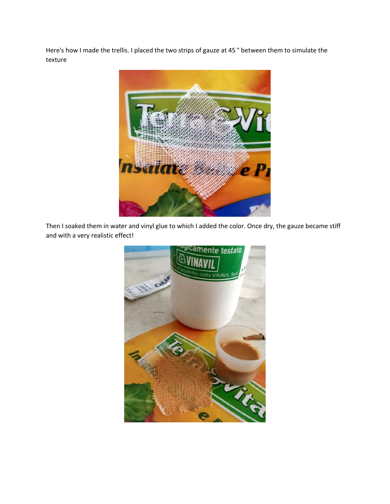Here's how I made the trellis. I placed the two strips of gauze at 45 ° between them to simulate the texture



Then I soaked them in water and vinyl glue to which I added the color. Once dry, the gauze became stiff and with a very realistic effect!

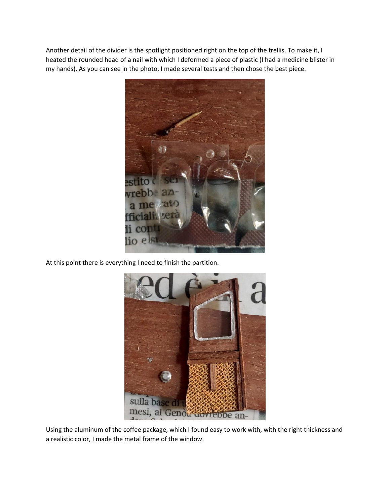Another detail of the divider is the spotlight positioned right on the top of the trellis. To make it, I heated the rounded head of a nail with which I deformed a piece of plastic (I had a medicine blister in my hands). As you can see in the photo, I made several tests and then chose the best piece.



At this point there is everything I need to finish the partition.



Using the aluminum of the coffee package, which I found easy to work with, with the right thickness and a realistic color, I made the metal frame of the window.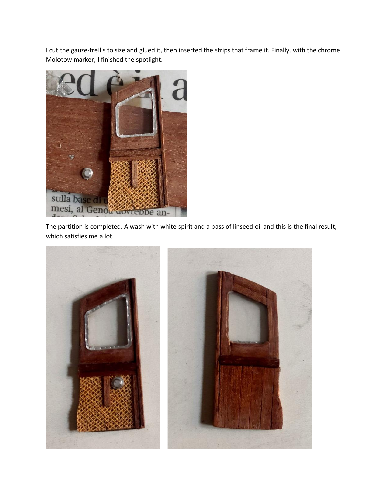I cut the gauze-trellis to size and glued it, then inserted the strips that frame it. Finally, with the chrome Molotow marker, I finished the spotlight.



The partition is completed. A wash with white spirit and a pass of linseed oil and this is the final result, which satisfies me a lot.